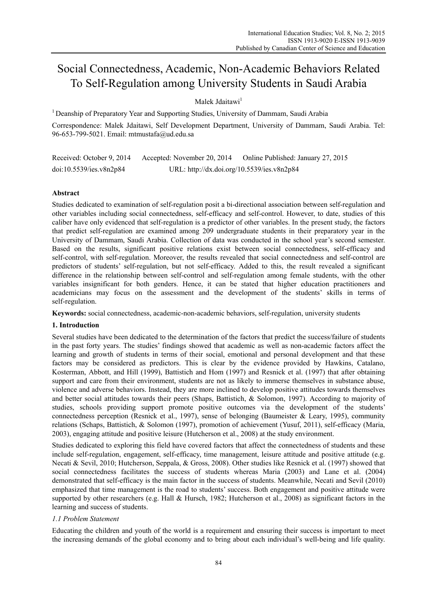# Social Connectedness, Academic, Non-Academic Behaviors Related To Self-Regulation among University Students in Saudi Arabia

Malek Jdaitawi<sup>1</sup>

1 Deanship of Preparatory Year and Supporting Studies, University of Dammam, Saudi Arabia

Correspondence: Malek Jdaitawi, Self Development Department, University of Dammam, Saudi Arabia. Tel: 96-653-799-5021. Email: mtmustafa@ud.edu.sa

Received: October 9, 2014 Accepted: November 20, 2014 Online Published: January 27, 2015 doi:10.5539/ies.v8n2p84 URL: http://dx.doi.org/10.5539/ies.v8n2p84

# **Abstract**

Studies dedicated to examination of self-regulation posit a bi-directional association between self-regulation and other variables including social connectedness, self-efficacy and self-control. However, to date, studies of this caliber have only evidenced that self-regulation is a predictor of other variables. In the present study, the factors that predict self-regulation are examined among 209 undergraduate students in their preparatory year in the University of Dammam, Saudi Arabia. Collection of data was conducted in the school year's second semester. Based on the results, significant positive relations exist between social connectedness, self-efficacy and self-control, with self-regulation. Moreover, the results revealed that social connectedness and self-control are predictors of students' self-regulation, but not self-efficacy. Added to this, the result revealed a significant difference in the relationship between self-control and self-regulation among female students, with the other variables insignificant for both genders. Hence, it can be stated that higher education practitioners and academicians may focus on the assessment and the development of the students' skills in terms of self-regulation.

**Keywords:** social connectedness, academic-non-academic behaviors, self-regulation, university students

# **1. Introduction**

Several studies have been dedicated to the determination of the factors that predict the success/failure of students in the past forty years. The studies' findings showed that academic as well as non-academic factors affect the learning and growth of students in terms of their social, emotional and personal development and that these factors may be considered as predictors. This is clear by the evidence provided by Hawkins, Catalano, Kosterman, Abbott, and Hill (1999), Battistich and Hom (1997) and Resnick et al. (1997) that after obtaining support and care from their environment, students are not as likely to immerse themselves in substance abuse, violence and adverse behaviors. Instead, they are more inclined to develop positive attitudes towards themselves and better social attitudes towards their peers (Shaps, Battistich, & Solomon, 1997). According to majority of studies, schools providing support promote positive outcomes via the development of the students' connectedness perception (Resnick et al., 1997), sense of belonging (Baumeister & Leary, 1995), community relations (Schaps, Battistich, & Solomon (1997), promotion of achievement (Yusuf, 2011), self-efficacy (Maria, 2003), engaging attitude and positive leisure (Hutcherson et al., 2008) at the study environment.

Studies dedicated to exploring this field have covered factors that affect the connectedness of students and these include self-regulation, engagement, self-efficacy, time management, leisure attitude and positive attitude (e.g. Necati & Sevil, 2010; Hutcherson, Seppala, & Gross, 2008). Other studies like Resnick et al. (1997) showed that social connectedness facilitates the success of students whereas Maria (2003) and Lane et al. (2004) demonstrated that self-efficacy is the main factor in the success of students. Meanwhile, Necati and Sevil (2010) emphasized that time management is the road to students' success. Both engagement and positive attitude were supported by other researchers (e.g. Hall & Hursch, 1982; Hutcherson et al., 2008) as significant factors in the learning and success of students.

# *1.1 Problem Statement*

Educating the children and youth of the world is a requirement and ensuring their success is important to meet the increasing demands of the global economy and to bring about each individual's well-being and life quality.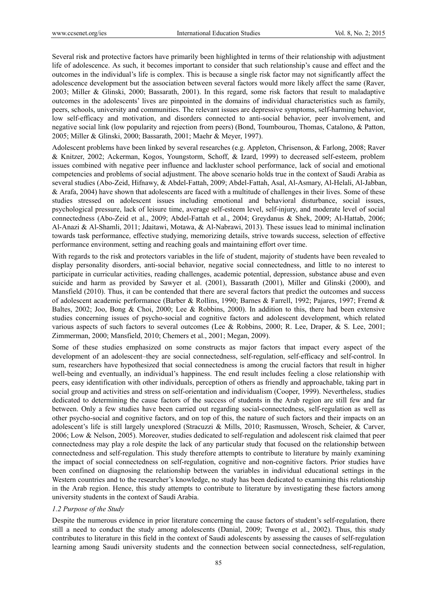Several risk and protective factors have primarily been highlighted in terms of their relationship with adjustment life of adolescence. As such, it becomes important to consider that such relationship's cause and effect and the outcomes in the individual's life is complex. This is because a single risk factor may not significantly affect the adolescence development but the association between several factors would more likely affect the same (Raver, 2003; Miller & Glinski, 2000; Bassarath, 2001). In this regard, some risk factors that result to maladaptive outcomes in the adolescents' lives are pinpointed in the domains of individual characteristics such as family, peers, schools, university and communities. The relevant issues are depressive symptoms, self-harming behavior, low self-efficacy and motivation, and disorders connected to anti-social behavior, peer involvement, and negative social link (low popularity and rejection from peers) (Bond, Toumbourou, Thomas, Catalono, & Patton, 2005; Miller & Glinski, 2000; Bassarath, 2001; Maehr & Meyer, 1997).

Adolescent problems have been linked by several researches (e.g. Appleton, Chrisenson, & Farlong, 2008; Raver & Knitzer, 2002; Ackerman, Kogos, Youngstorm, Schoff, & Izard, 1999) to decreased self-esteem, problem issues combined with negative peer influence and lackluster school performance, lack of social and emotional competencies and problems of social adjustment. The above scenario holds true in the context of Saudi Arabia as several studies (Abo-Zeid, Hifnawy, & Abdel-Fattah, 2009; Abdel-Fattah, Asal, Al-Asmary, Al-Helali, Al-Jabban, & Arafa, 2004) have shown that adolescents are faced with a multitude of challenges in their lives. Some of these studies stressed on adolescent issues including emotional and behavioral disturbance, social issues, psychological pressure, lack of leisure time, average self-esteem level, self-injury, and moderate level of social connectedness (Abo-Zeid et al., 2009; Abdel-Fattah et al., 2004; Greydanus & Shek, 2009; Al-Hattab, 2006; Al-Anazi & Al-Shamli, 2011; Jdaitawi, Motawa, & Al-Nabrawi, 2013). These issues lead to minimal inclination towards task performance, effective studying, memorizing details, strive towards success, selection of effective performance environment, setting and reaching goals and maintaining effort over time.

With regards to the risk and protectors variables in the life of student, majority of students have been revealed to display personality disorders, anti-social behavior, negative social connectedness, and little to no interest to participate in curricular activities, reading challenges, academic potential, depression, substance abuse and even suicide and harm as provided by Sawyer et al. (2001), Bassarath (2001), Miller and Glinski (2000), and Mansfield (2010). Thus, it can be contended that there are several factors that predict the outcomes and success of adolescent academic performance (Barber & Rollins, 1990; Barnes & Farrell, 1992; Pajares, 1997; Fremd & Baltes, 2002; Joo, Bong & Choi, 2000; Lee & Robbins, 2000). In addition to this, there had been extensive studies concerning issues of psycho-social and cognitive factors and adolescent development, which related various aspects of such factors to several outcomes (Lee & Robbins, 2000; R. Lee, Draper, & S. Lee, 2001; Zimmerman, 2000; Mansfield, 2010; Chemers et al., 2001; Megan, 2009).

Some of these studies emphasized on some constructs as major factors that impact every aspect of the development of an adolescent–they are social connectedness, self-regulation, self-efficacy and self-control. In sum, researchers have hypothesized that social connectedness is among the crucial factors that result in higher well-being and eventually, an individual's happiness. The end result includes feeling a close relationship with peers, easy identification with other individuals, perception of others as friendly and approachable, taking part in social group and activities and stress on self-orientation and individualism (Cooper, 1999). Nevertheless, studies dedicated to determining the cause factors of the success of students in the Arab region are still few and far between. Only a few studies have been carried out regarding social-connectedness, self-regulation as well as other psycho-social and cognitive factors, and on top of this, the nature of such factors and their impacts on an adolescent's life is still largely unexplored (Stracuzzi & Mills, 2010; Rasmussen, Wrosch, Scheier, & Carver, 2006; Low & Nelson, 2005). Moreover, studies dedicated to self-regulation and adolescent risk claimed that peer connectedness may play a role despite the lack of any particular study that focused on the relationship between connectedness and self-regulation. This study therefore attempts to contribute to literature by mainly examining the impact of social connectedness on self-regulation, cognitive and non-cognitive factors. Prior studies have been confined on diagnosing the relationship between the variables in individual educational settings in the Western countries and to the researcher's knowledge, no study has been dedicated to examining this relationship in the Arab region. Hence, this study attempts to contribute to literature by investigating these factors among university students in the context of Saudi Arabia.

# *1.2 Purpose of the Study*

Despite the numerous evidence in prior literature concerning the cause factors of student's self-regulation, there still a need to conduct the study among adolescents (Danial, 2009; Twenge et al., 2002). Thus, this study contributes to literature in this field in the context of Saudi adolescents by assessing the causes of self-regulation learning among Saudi university students and the connection between social connectedness, self-regulation,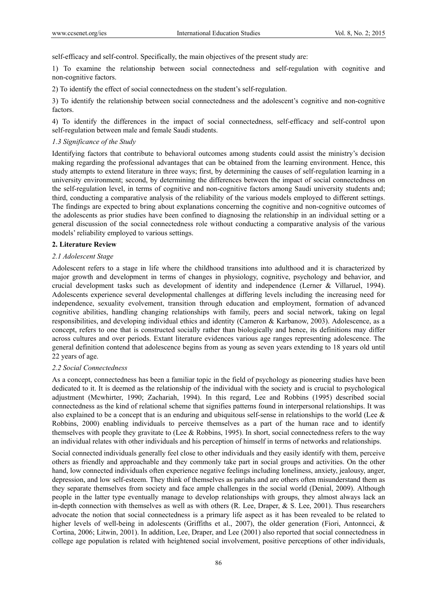self-efficacy and self-control. Specifically, the main objectives of the present study are:

1) To examine the relationship between social connectedness and self-regulation with cognitive and non-cognitive factors.

2) To identify the effect of social connectedness on the student's self-regulation.

3) To identify the relationship between social connectedness and the adolescent's cognitive and non-cognitive factors.

4) To identify the differences in the impact of social connectedness, self-efficacy and self-control upon self-regulation between male and female Saudi students.

## *1.3 Significance of the Study*

Identifying factors that contribute to behavioral outcomes among students could assist the ministry's decision making regarding the professional advantages that can be obtained from the learning environment. Hence, this study attempts to extend literature in three ways; first, by determining the causes of self-regulation learning in a university environment; second, by determining the differences between the impact of social connectedness on the self-regulation level, in terms of cognitive and non-cognitive factors among Saudi university students and; third, conducting a comparative analysis of the reliability of the various models employed to different settings. The findings are expected to bring about explanations concerning the cognitive and non-cognitive outcomes of the adolescents as prior studies have been confined to diagnosing the relationship in an individual setting or a general discussion of the social connectedness role without conducting a comparative analysis of the various models' reliability employed to various settings.

## **2. Literature Review**

## *2.1 Adolescent Stage*

Adolescent refers to a stage in life where the childhood transitions into adulthood and it is characterized by major growth and development in terms of changes in physiology, cognitive, psychology and behavior, and crucial development tasks such as development of identity and independence (Lerner & Villaruel, 1994). Adolescents experience several developmental challenges at differing levels including the increasing need for independence, sexuality evolvement, transition through education and employment, formation of advanced cognitive abilities, handling changing relationships with family, peers and social network, taking on legal responsibilities, and developing individual ethics and identity (Cameron & Karbanow, 2003). Adolescence, as a concept, refers to one that is constructed socially rather than biologically and hence, its definitions may differ across cultures and over periods. Extant literature evidences various age ranges representing adolescence. The general definition contend that adolescence begins from as young as seven years extending to 18 years old until 22 years of age.

## *2.2 Social Connectedness*

As a concept, connectedness has been a familiar topic in the field of psychology as pioneering studies have been dedicated to it. It is deemed as the relationship of the individual with the society and is crucial to psychological adjustment (Mcwhirter, 1990; Zachariah, 1994). In this regard, Lee and Robbins (1995) described social connectedness as the kind of relational scheme that signifies patterns found in interpersonal relationships. It was also explained to be a concept that is an enduring and ubiquitous self-sense in relationships to the world (Lee  $\&$ Robbins, 2000) enabling individuals to perceive themselves as a part of the human race and to identify themselves with people they gravitate to (Lee & Robbins, 1995). In short, social connectedness refers to the way an individual relates with other individuals and his perception of himself in terms of networks and relationships.

Social connected individuals generally feel close to other individuals and they easily identify with them, perceive others as friendly and approachable and they commonly take part in social groups and activities. On the other hand, low connected individuals often experience negative feelings including loneliness, anxiety, jealousy, anger, depression, and low self-esteem. They think of themselves as pariahs and are others often misunderstand them as they separate themselves from society and face ample challenges in the social world (Denial, 2009). Although people in the latter type eventually manage to develop relationships with groups, they almost always lack an in-depth connection with themselves as well as with others (R. Lee, Draper, & S. Lee, 2001). Thus researchers advocate the notion that social connectedness is a primary life aspect as it has been revealed to be related to higher levels of well-being in adolescents (Griffiths et al., 2007), the older generation (Fiori, Antonncci, & Cortina, 2006; Litwin, 2001). In addition, Lee, Draper, and Lee (2001) also reported that social connectedness in college age population is related with heightened social involvement, positive perceptions of other individuals,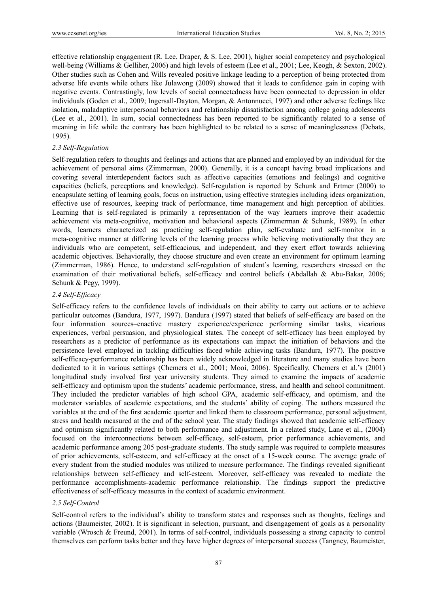effective relationship engagement (R. Lee, Draper, & S. Lee, 2001), higher social competency and psychological well-being (Williams & Gelliher, 2006) and high levels of esteem (Lee et al., 2001; Lee, Keogh, & Sexton, 2002). Other studies such as Cohen and Wills revealed positive linkage leading to a perception of being protected from adverse life events while others like Julawong (2009) showed that it leads to confidence gain in coping with negative events. Contrastingly, low levels of social connectedness have been connected to depression in older individuals (Goden et al., 2009; Ingersall-Dayton, Morgan, & Antonnucci, 1997) and other adverse feelings like isolation, maladaptive interpersonal behaviors and relationship dissatisfaction among college going adolescents (Lee et al., 2001). In sum, social connectedness has been reported to be significantly related to a sense of meaning in life while the contrary has been highlighted to be related to a sense of meaninglessness (Debats, 1995).

# *2.3 Self-Regulation*

Self-regulation refers to thoughts and feelings and actions that are planned and employed by an individual for the achievement of personal aims (Zimmerman, 2000). Generally, it is a concept having broad implications and covering several interdependent factors such as affective capacities (emotions and feelings) and cognitive capacities (beliefs, perceptions and knowledge). Self-regulation is reported by Schunk and Ertmer (2000) to encapsulate setting of learning goals, focus on instruction, using effective strategies including ideas organization, effective use of resources, keeping track of performance, time management and high perception of abilities. Learning that is self-regulated is primarily a representation of the way learners improve their academic achievement via meta-cognitive, motivation and behavioral aspects (Zimmerman & Schunk, 1989). In other words, learners characterized as practicing self-regulation plan, self-evaluate and self-monitor in a meta-cognitive manner at differing levels of the learning process while believing motivationally that they are individuals who are competent, self-efficacious, and independent, and they exert effort towards achieving academic objectives. Behaviorally, they choose structure and even create an environment for optimum learning (Zimmerman, 1986). Hence, to understand self-regulation of student's learning, researchers stressed on the examination of their motivational beliefs, self-efficacy and control beliefs (Abdallah & Abu-Bakar, 2006; Schunk & Pegy, 1999).

# *2.4 Self-Efficacy*

Self-efficacy refers to the confidence levels of individuals on their ability to carry out actions or to achieve particular outcomes (Bandura, 1977, 1997). Bandura (1997) stated that beliefs of self-efficacy are based on the four information sources–enactive mastery experience/experience performing similar tasks, vicarious experiences, verbal persuasion, and physiological states. The concept of self-efficacy has been employed by researchers as a predictor of performance as its expectations can impact the initiation of behaviors and the persistence level employed in tackling difficulties faced while achieving tasks (Bandura, 1977). The positive self-efficacy-performance relationship has been widely acknowledged in literature and many studies have been dedicated to it in various settings (Chemers et al., 2001; Mooi, 2006). Specifically, Chemers et al.'s (2001) longitudinal study involved first year university students. They aimed to examine the impacts of academic self-efficacy and optimism upon the students' academic performance, stress, and health and school commitment. They included the predictor variables of high school GPA, academic self-efficacy, and optimism, and the moderator variables of academic expectations, and the students' ability of coping. The authors measured the variables at the end of the first academic quarter and linked them to classroom performance, personal adjustment, stress and health measured at the end of the school year. The study findings showed that academic self-efficacy and optimism significantly related to both performance and adjustment. In a related study, Lane et al., (2004) focused on the interconnections between self-efficacy, self-esteem, prior performance achievements, and academic performance among 205 post-graduate students. The study sample was required to complete measures of prior achievements, self-esteem, and self-efficacy at the onset of a 15-week course. The average grade of every student from the studied modules was utilized to measure performance. The findings revealed significant relationships between self-efficacy and self-esteem. Moreover, self-efficacy was revealed to mediate the performance accomplishments-academic performance relationship. The findings support the predictive effectiveness of self-efficacy measures in the context of academic environment.

# *2.5 Self-Control*

Self-control refers to the individual's ability to transform states and responses such as thoughts, feelings and actions (Baumeister, 2002). It is significant in selection, pursuant, and disengagement of goals as a personality variable (Wrosch & Freund, 2001). In terms of self-control, individuals possessing a strong capacity to control themselves can perform tasks better and they have higher degrees of interpersonal success (Tangney, Baumeister,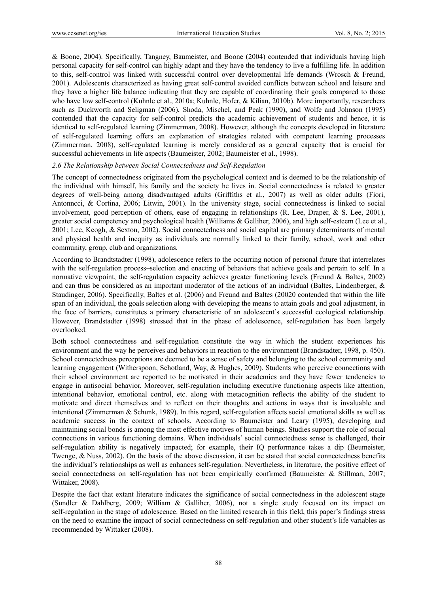& Boone, 2004). Specifically, Tangney, Baumeister, and Boone (2004) contended that individuals having high personal capacity for self-control can highly adapt and they have the tendency to live a fulfilling life. In addition to this, self-control was linked with successful control over developmental life demands (Wrosch & Freund, 2001). Adolescents characterized as having great self-control avoided conflicts between school and leisure and they have a higher life balance indicating that they are capable of coordinating their goals compared to those who have low self-control (Kuhnle et al., 2010a; Kuhnle, Hofer, & Kilian, 2010b). More importantly, researchers such as Duckworth and Seligman (2006), Shoda, Mischel, and Peak (1990), and Wolfe and Johnson (1995) contended that the capacity for self-control predicts the academic achievement of students and hence, it is identical to self-regulated learning (Zimmerman, 2008). However, although the concepts developed in literature of self-regulated learning offers an explanation of strategies related with competent learning processes (Zimmerman, 2008), self-regulated learning is merely considered as a general capacity that is crucial for successful achievements in life aspects (Baumeister, 2002; Baumeister et al., 1998).

# *2.6 The Relationship between Social Connectedness and Self-Regulation*

The concept of connectedness originated from the psychological context and is deemed to be the relationship of the individual with himself, his family and the society he lives in. Social connectedness is related to greater degrees of well-being among disadvantaged adults (Griffiths et al., 2007) as well as older adults (Fiori, Antonncci, & Cortina, 2006; Litwin, 2001). In the university stage, social connectedness is linked to social involvement, good perception of others, ease of engaging in relationships (R. Lee, Draper, & S. Lee, 2001), greater social competency and psychological health (Williams & Gelliher, 2006), and high self-esteem (Lee et al., 2001; Lee, Keogh, & Sexton, 2002). Social connectedness and social capital are primary determinants of mental and physical health and inequity as individuals are normally linked to their family, school, work and other community, group, club and organizations.

According to Brandtstadter (1998), adolescence refers to the occurring notion of personal future that interrelates with the self-regulation process–selection and enacting of behaviors that achieve goals and pertain to self. In a normative viewpoint, the self-regulation capacity achieves greater functioning levels (Freund & Baltes, 2002) and can thus be considered as an important moderator of the actions of an individual (Baltes, Lindenberger, & Staudinger, 2006). Specifically, Baltes et al. (2006) and Freund and Baltes (20020 contended that within the life span of an individual, the goals selection along with developing the means to attain goals and goal adjustment, in the face of barriers, constitutes a primary characteristic of an adolescent's successful ecological relationship. However, Brandstadter (1998) stressed that in the phase of adolescence, self-regulation has been largely overlooked.

Both school connectedness and self-regulation constitute the way in which the student experiences his environment and the way he perceives and behaviors in reaction to the environment (Brandstadter, 1998, p. 450). School connectedness perceptions are deemed to be a sense of safety and belonging to the school community and learning engagement (Witherspoon, Schotland, Way, & Hughes, 2009). Students who perceive connections with their school environment are reported to be motivated in their academics and they have fewer tendencies to engage in antisocial behavior. Moreover, self-regulation including executive functioning aspects like attention, intentional behavior, emotional control, etc. along with metacognition reflects the ability of the student to motivate and direct themselves and to reflect on their thoughts and actions in ways that is invaluable and intentional (Zimmerman & Schunk, 1989). In this regard, self-regulation affects social emotional skills as well as academic success in the context of schools. According to Baumeister and Leary (1995), developing and maintaining social bonds is among the most effective motives of human beings. Studies support the role of social connections in various functioning domains. When individuals' social connectedness sense is challenged, their self-regulation ability is negatively impacted; for example, their IQ performance takes a dip (Beumeister, Twenge, & Nuss, 2002). On the basis of the above discussion, it can be stated that social connectedness benefits the individual's relationships as well as enhances self-regulation. Nevertheless, in literature, the positive effect of social connectedness on self-regulation has not been empirically confirmed (Baumeister & Stillman, 2007; Wittaker, 2008).

Despite the fact that extant literature indicates the significance of social connectedness in the adolescent stage (Sundler & Dahlberg, 2009; William & Galliher, 2006), not a single study focused on its impact on self-regulation in the stage of adolescence. Based on the limited research in this field, this paper's findings stress on the need to examine the impact of social connectedness on self-regulation and other student's life variables as recommended by Wittaker (2008).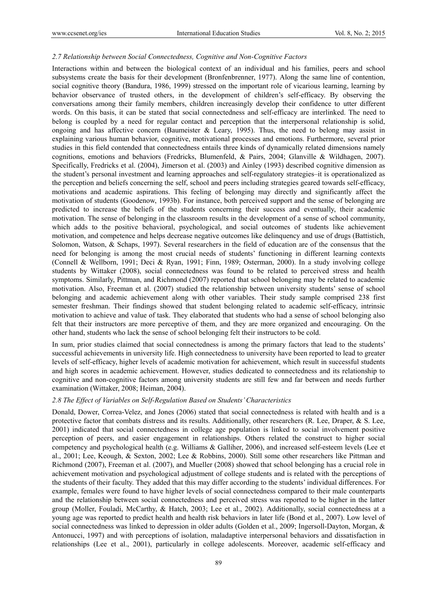## *2.7 Relationship between Social Connectedness, Cognitive and Non-Cognitive Factors*

Interactions within and between the biological context of an individual and his families, peers and school subsystems create the basis for their development (Bronfenbrenner, 1977). Along the same line of contention, social cognitive theory (Bandura, 1986, 1999) stressed on the important role of vicarious learning, learning by behavior observance of trusted others, in the development of children's self-efficacy. By observing the conversations among their family members, children increasingly develop their confidence to utter different words. On this basis, it can be stated that social connectedness and self-efficacy are interlinked. The need to belong is coupled by a need for regular contact and perception that the interpersonal relationship is solid, ongoing and has affective concern (Baumeister  $\&$  Leary, 1995). Thus, the need to belong may assist in explaining various human behavior, cognitive, motivational processes and emotions. Furthermore, several prior studies in this field contended that connectedness entails three kinds of dynamically related dimensions namely cognitions, emotions and behaviors (Fredricks, Blumenfeld, & Pairs, 2004; Glanville & Wildhagen, 2007). Specifically, Fredricks et al. (2004), Jimerson et al. (2003) and Ainley (1993) described cognitive dimension as the student's personal investment and learning approaches and self-regulatory strategies–it is operationalized as the perception and beliefs concerning the self, school and peers including strategies geared towards self-efficacy, motivations and academic aspirations. This feeling of belonging may directly and significantly affect the motivation of students (Goodenow, 1993b). For instance, both perceived support and the sense of belonging are predicted to increase the beliefs of the students concerning their success and eventually, their academic motivation. The sense of belonging in the classroom results in the development of a sense of school community, which adds to the positive behavioral, psychological, and social outcomes of students like achievement motivation, and competence and helps decrease negative outcomes like delinquency and use of drugs (Battistich, Solomon, Watson, & Schaps, 1997). Several researchers in the field of education are of the consensus that the need for belonging is among the most crucial needs of students' functioning in different learning contexts (Connell & Wellborn, 1991; Deci & Ryan, 1991; Finn, 1989; Osterman, 2000). In a study involving college students by Wittaker (2008), social connectedness was found to be related to perceived stress and health symptoms. Similarly, Pittman, and Richmond (2007) reported that school belonging may be related to academic motivation. Also, Freeman et al. (2007) studied the relationship between university students' sense of school belonging and academic achievement along with other variables. Their study sample comprised 238 first semester freshman. Their findings showed that student belonging related to academic self-efficacy, intrinsic motivation to achieve and value of task. They elaborated that students who had a sense of school belonging also felt that their instructors are more perceptive of them, and they are more organized and encouraging. On the other hand, students who lack the sense of school belonging felt their instructors to be cold.

In sum, prior studies claimed that social connectedness is among the primary factors that lead to the students' successful achievements in university life. High connectedness to university have been reported to lead to greater levels of self-efficacy, higher levels of academic motivation for achievement, which result in successful students and high scores in academic achievement. However, studies dedicated to connectedness and its relationship to cognitive and non-cognitive factors among university students are still few and far between and needs further examination (Wittaker, 2008; Heiman, 2004).

#### *2.8 The Effect of Variables on Self-Regulation Based on Students' Characteristics*

Donald, Dower, Correa-Velez, and Jones (2006) stated that social connectedness is related with health and is a protective factor that combats distress and its results. Additionally, other researchers (R. Lee, Draper, & S. Lee, 2001) indicated that social connectedness in college age population is linked to social involvement positive perception of peers, and easier engagement in relationships. Others related the construct to higher social competency and psychological health (e.g. Williams & Galliher, 2006), and increased self-esteem levels (Lee et al., 2001; Lee, Keough, & Sexton, 2002; Lee & Robbins, 2000). Still some other researchers like Pittman and Richmond (2007), Freeman et al. (2007), and Mueller (2008) showed that school belonging has a crucial role in achievement motivation and psychological adjustment of college students and is related with the perceptions of the students of their faculty. They added that this may differ according to the students' individual differences. For example, females were found to have higher levels of social connectedness compared to their male counterparts and the relationship between social connectedness and perceived stress was reported to be higher in the latter group (Moller, Fouladi, McCarthy, & Hatch, 2003; Lee et al., 2002). Additionally, social connectedness at a young age was reported to predict health and health risk behaviors in later life (Bond et al., 2007). Low level of social connectedness was linked to depression in older adults (Golden et al., 2009; Ingersoll-Dayton, Morgan, & Antonucci, 1997) and with perceptions of isolation, maladaptive interpersonal behaviors and dissatisfaction in relationships (Lee et al., 2001), particularly in college adolescents. Moreover, academic self-efficacy and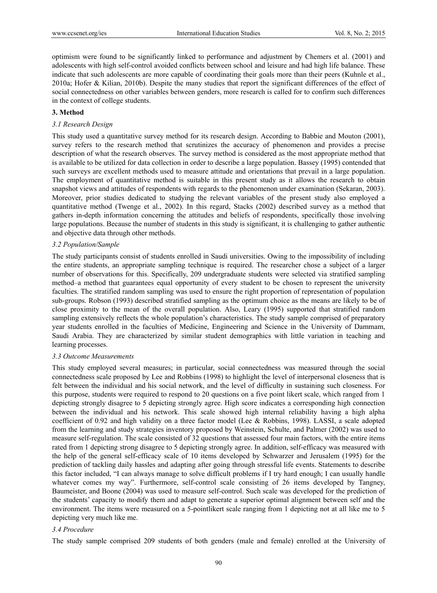optimism were found to be significantly linked to performance and adjustment by Chemers et al. (2001) and adolescents with high self-control avoided conflicts between school and leisure and had high life balance. These indicate that such adolescents are more capable of coordinating their goals more than their peers (Kuhnle et al., 2010a; Hofer & Kilian, 2010b). Despite the many studies that report the significant differences of the effect of social connectedness on other variables between genders, more research is called for to confirm such differences in the context of college students.

## **3. Method**

## *3.1 Research Design*

This study used a quantitative survey method for its research design. According to Babbie and Mouton (2001), survey refers to the research method that scrutinizes the accuracy of phenomenon and provides a precise description of what the research observes. The survey method is considered as the most appropriate method that is available to be utilized for data collection in order to describe a large population. Bassey (1995) contended that such surveys are excellent methods used to measure attitude and orientations that prevail in a large population. The employment of quantitative method is suitable in this present study as it allows the research to obtain snapshot views and attitudes of respondents with regards to the phenomenon under examination (Sekaran, 2003). Moreover, prior studies dedicated to studying the relevant variables of the present study also employed a quantitative method (Twenge et al., 2002). In this regard, Stacks (2002) described survey as a method that gathers in-depth information concerning the attitudes and beliefs of respondents, specifically those involving large populations. Because the number of students in this study is significant, it is challenging to gather authentic and objective data through other methods.

## *3.2 Population/Sample*

The study participants consist of students enrolled in Saudi universities. Owing to the impossibility of including the entire students, an appropriate sampling technique is required. The researcher chose a subject of a larger number of observations for this. Specifically, 209 undergraduate students were selected via stratified sampling method–a method that guarantees equal opportunity of every student to be chosen to represent the university faculties. The stratified random sampling was used to ensure the right proportion of representation of population sub-groups. Robson (1993) described stratified sampling as the optimum choice as the means are likely to be of close proximity to the mean of the overall population. Also, Leary (1995) supported that stratified random sampling extensively reflects the whole population's characteristics. The study sample comprised of preparatory year students enrolled in the faculties of Medicine, Engineering and Science in the University of Dammam, Saudi Arabia. They are characterized by similar student demographics with little variation in teaching and learning processes.

## *3.3 Outcome Measurements*

This study employed several measures; in particular, social connectedness was measured through the social connectedness scale proposed by Lee and Robbins (1998) to highlight the level of interpersonal closeness that is felt between the individual and his social network, and the level of difficulty in sustaining such closeness. For this purpose, students were required to respond to 20 questions on a five point likert scale, which ranged from 1 depicting strongly disagree to 5 depicting strongly agree. High score indicates a corresponding high connection between the individual and his network. This scale showed high internal reliability having a high alpha coefficient of 0.92 and high validity on a three factor model (Lee & Robbins, 1998). LASSI, a scale adopted from the learning and study strategies inventory proposed by Weinstein, Schulte, and Palmer (2002) was used to measure self-regulation. The scale consisted of 32 questions that assessed four main factors, with the entire items rated from 1 depicting strong disagree to 5 depicting strongly agree. In addition, self-efficacy was measured with the help of the general self-efficacy scale of 10 items developed by Schwarzer and Jerusalem (1995) for the prediction of tackling daily hassles and adapting after going through stressful life events. Statements to describe this factor included, "I can always manage to solve difficult problems if I try hard enough; I can usually handle whatever comes my way". Furthermore, self-control scale consisting of 26 items developed by Tangney, Baumeister, and Boone (2004) was used to measure self-control. Such scale was developed for the prediction of the students' capacity to modify them and adapt to generate a superior optimal alignment between self and the environment. The items were measured on a 5-pointlikert scale ranging from 1 depicting not at all like me to 5 depicting very much like me.

# *3.4 Procedure*

The study sample comprised 209 students of both genders (male and female) enrolled at the University of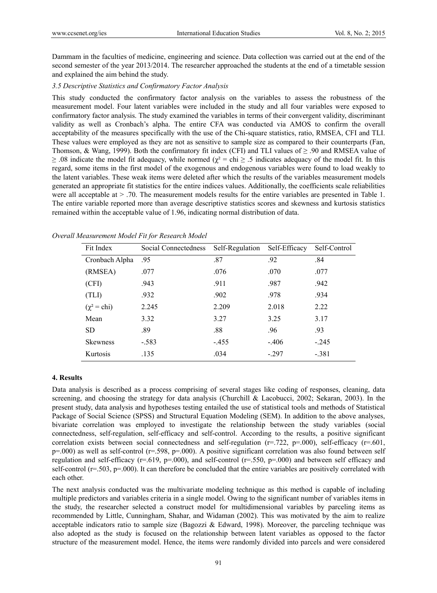Dammam in the faculties of medicine, engineering and science. Data collection was carried out at the end of the second semester of the year 2013/2014. The researcher approached the students at the end of a timetable session and explained the aim behind the study.

## *3.5 Descriptive Statistics and Confirmatory Factor Analysis*

This study conducted the confirmatory factor analysis on the variables to assess the robustness of the measurement model. Four latent variables were included in the study and all four variables were exposed to confirmatory factor analysis. The study examined the variables in terms of their convergent validity, discriminant validity as well as Cronbach's alpha. The entire CFA was conducted via AMOS to confirm the overall acceptability of the measures specifically with the use of the Chi-square statistics, ratio, RMSEA, CFI and TLI. These values were employed as they are not as sensitive to sample size as compared to their counterparts (Fan, Thomson, & Wang, 1999). Both the confirmatory fit index (CFI) and TLI values of ≥ .90 and RMSEA value of  $≥$  .08 indicate the model fit adequacy, while normed ( $χ² = \text{chi} ≥ .5$  indicates adequacy of the model fit. In this regard, some items in the first model of the exogenous and endogenous variables were found to load weakly to the latent variables. These weak items were deleted after which the results of the variables measurement models generated an appropriate fit statistics for the entire indices values. Additionally, the coefficients scale reliabilities were all acceptable at  $> 0.70$ . The measurement models results for the entire variables are presented in Table 1. The entire variable reported more than average descriptive statistics scores and skewness and kurtosis statistics remained within the acceptable value of 1.96, indicating normal distribution of data.

| Fit Index               | Social Connectedness | Self-Regulation Self-Efficacy |         | Self-Control |
|-------------------------|----------------------|-------------------------------|---------|--------------|
| Cronbach Alpha          | .95                  | .87                           | .92     | .84          |
| (RMSEA)                 | .077                 | .076                          | .070    | .077         |
| (CFI)                   | .943                 | .911                          | .987    | .942         |
| (TLI)                   | .932                 | .902                          | .978    | .934         |
| $(\chi^2 = \text{chi})$ | 2.245                | 2.209                         | 2.018   | 2.22         |
| Mean                    | 3.32                 | 3.27                          | 3.25    | 3.17         |
| <b>SD</b>               | .89                  | .88                           | .96     | .93          |
| <b>Skewness</b>         | $-.583$              | $-455$                        | $-.406$ | $-.245$      |
| Kurtosis                | .135                 | .034                          | $-.297$ | $-.381$      |

*Overall Measurement Model Fit for Research Model* 

## **4. Results**

Data analysis is described as a process comprising of several stages like coding of responses, cleaning, data screening, and choosing the strategy for data analysis (Churchill & Lacobucci, 2002; Sekaran, 2003). In the present study, data analysis and hypotheses testing entailed the use of statistical tools and methods of Statistical Package of Social Science (SPSS) and Structural Equation Modeling (SEM). In addition to the above analyses, bivariate correlation was employed to investigate the relationship between the study variables (social connectedness, self-regulation, self-efficacy and self-control. According to the results, a positive significant correlation exists between social connectedness and self-regulation ( $r=.722$ ,  $p=.000$ ), self-efficacy ( $r=.601$ , p=.000) as well as self-control (r=.598, p=.000). A positive significant correlation was also found between self regulation and self-efficacy (r=.619, p=.000), and self-control (r=.550, p=.000) and between self efficacy and self-control ( $r=0.503$ ,  $p=0.00$ ). It can therefore be concluded that the entire variables are positively correlated with each other.

The next analysis conducted was the multivariate modeling technique as this method is capable of including multiple predictors and variables criteria in a single model. Owing to the significant number of variables items in the study, the researcher selected a construct model for multidimensional variables by parceling items as recommended by Little, Cunningham, Shahar, and Widaman (2002). This was motivated by the aim to realize acceptable indicators ratio to sample size (Bagozzi  $\&$  Edward, 1998). Moreover, the parceling technique was also adopted as the study is focused on the relationship between latent variables as opposed to the factor structure of the measurement model. Hence, the items were randomly divided into parcels and were considered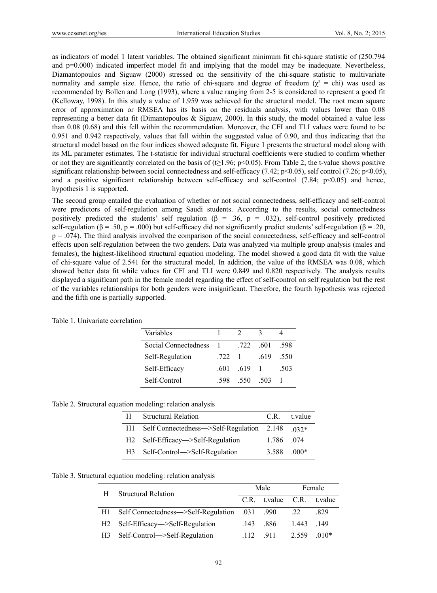as indicators of model 1 latent variables. The obtained significant minimum fit chi-square statistic of (250.794 and p=0.000) indicated imperfect model fit and implying that the model may be inadequate. Nevertheless, Diamantopoulos and Siguaw (2000) stressed on the sensitivity of the chi-square statistic to multivariate normality and sample size. Hence, the ratio of chi-square and degree of freedom ( $\chi^2$  = chi) was used as recommended by Bollen and Long (1993), where a value ranging from 2-5 is considered to represent a good fit (Kelloway, 1998). In this study a value of 1.959 was achieved for the structural model. The root mean square error of approximation or RMSEA has its basis on the residuals analysis, with values lower than 0.08 representing a better data fit (Dimantopoulos & Siguaw, 2000). In this study, the model obtained a value less than 0.08 (0.68) and this fell within the recommendation. Moreover, the CFI and TLI values were found to be 0.951 and 0.942 respectively, values that fall within the suggested value of 0.90, and thus indicating that the structural model based on the four indices showed adequate fit. Figure 1 presents the structural model along with its ML parameter estimates. The t-statistic for individual structural coefficients were studied to confirm whether or not they are significantly correlated on the basis of (t $\geq$ 1.96; p<0.05). From Table 2, the t-value shows positive significant relationship between social connectedness and self-efficacy (7.42; p<0.05), self control (7.26; p<0.05), and a positive significant relationship between self-efficacy and self-control  $(7.84; p<0.05)$  and hence, hypothesis 1 is supported.

The second group entailed the evaluation of whether or not social connectedness, self-efficacy and self-control were predictors of self-regulation among Saudi students. According to the results, social connectedness positively predicted the students' self regulation ( $\beta = .36$ ,  $p = .032$ ), self-control positively predicted self-regulation ( $\beta$  = .50, p = .000) but self-efficacy did not significantly predict students' self-regulation ( $\beta$  = .20,  $p = .074$ ). The third analysis involved the comparison of the social connectedness, self-efficacy and self-control effects upon self-regulation between the two genders. Data was analyzed via multiple group analysis (males and females), the highest-likelihood structural equation modeling. The model showed a good data fit with the value of chi-square value of 2.541 for the structural model. In addition, the value of the RMSEA was 0.08, which showed better data fit while values for CFI and TLI were 0.849 and 0.820 respectively. The analysis results displayed a significant path in the female model regarding the effect of self-control on self regulation but the rest of the variables relationships for both genders were insignificant. Therefore, the fourth hypothesis was rejected and the fifth one is partially supported.

| Variables            |                | $\mathcal{D}$ | 3    |      |
|----------------------|----------------|---------------|------|------|
| Social Connectedness | $\blacksquare$ | 722           | -601 | .598 |
| Self-Regulation      | 722 1          |               | -619 | .550 |
| Self-Efficacy        | -601           | $.619 - 1$    |      | .503 |
| Self-Control         | -598           | -550          | -503 |      |

Table 1. Univariate correlation

Table 2. Structural equation modeling: relation analysis

| H    | <b>Structural Relation</b>                | C R       | t value |
|------|-------------------------------------------|-----------|---------|
| H1 = | Self Connectedness—>Self-Regulation 2.148 |           | $032*$  |
|      | H2 Self-Efficacy->Self-Regulation         | 1 786 074 |         |
|      | H3 Self-Control->Self-Regulation          | 3.588     | $000*$  |

Table 3. Structural equation modeling: relation analysis

| H   | <b>Structural Relation</b>                    | Male |                           | Female    |        |
|-----|-----------------------------------------------|------|---------------------------|-----------|--------|
|     |                                               |      | C.R. t.value C.R. t.value |           |        |
| H1. | Self Connectedness—>Self-Regulation .031 .990 |      |                           | .22       | .829   |
|     | H2 Self-Efficacy—>Self-Regulation             | 143  | - 886                     | 1.443 149 |        |
| H3  | Self-Control—>Self-Regulation                 | 112  | 911                       | 2.559     | $010*$ |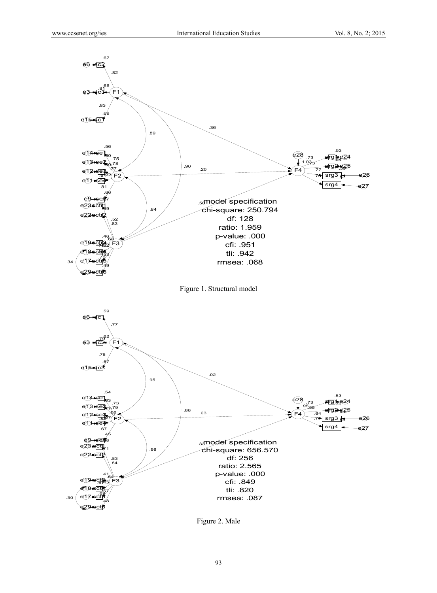

Figure 2. Male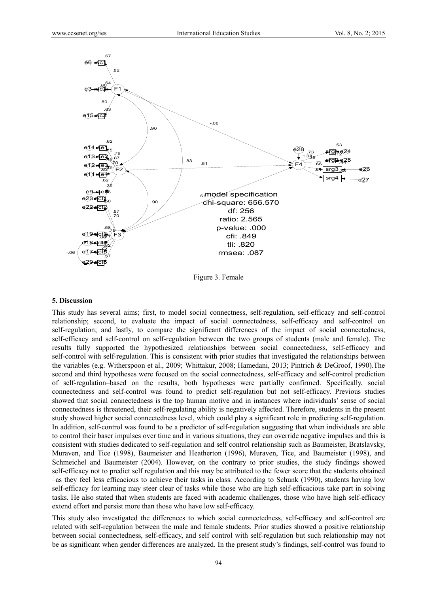

Figure 3. Female

## **5. Discussion**

This study has several aims; first, to model social connectness, self-regulation, self-efficacy and self-control relationship; second, to evaluate the impact of social connectedness, self-efficacy and self-control on self-regulation; and lastly, to compare the significant differences of the impact of social connectedness, self-efficacy and self-control on self-regulation between the two groups of students (male and female). The results fully supported the hypothesized relationships between social connectedness, self-efficacy and self-control with self-regulation. This is consistent with prior studies that investigated the relationships between the variables (e.g. Witherspoon et al., 2009; Whittakur, 2008; Hamedani, 2013; Pintrich & DeGroof, 1990).The second and third hypotheses were focused on the social connectedness, self-efficacy and self-control prediction of self-regulation–based on the results, both hypotheses were partially confirmed. Specifically, social connectedness and self-control was found to predict self-regulation but not self-efficacy. Previous studies showed that social connectedness is the top human motive and in instances where individuals' sense of social connectedness is threatened, their self-regulating ability is negatively affected. Therefore, students in the present study showed higher social connectedness level, which could play a significant role in predicting self-regulation. In addition, self-control was found to be a predictor of self-regulation suggesting that when individuals are able to control their baser impulses over time and in various situations, they can override negative impulses and this is consistent with studies dedicated to self-regulation and self control relationship such as Baumeister, Bratslavsky, Muraven, and Tice (1998), Baumeister and Heatherton (1996), Muraven, Tice, and Baumeister (1998), and Schmeichel and Baumeister (2004). However, on the contrary to prior studies, the study findings showed self-efficacy not to predict self regulation and this may be attributed to the fewer score that the students obtained –as they feel less efficacious to achieve their tasks in class. According to Schunk (1990), students having low self-efficacy for learning may steer clear of tasks while those who are high self-efficacious take part in solving tasks. He also stated that when students are faced with academic challenges, those who have high self-efficacy extend effort and persist more than those who have low self-efficacy.

This study also investigated the differences to which social connectedness, self-efficacy and self-control are related with self-regulation between the male and female students. Prior studies showed a positive relationship between social connectedness, self-efficacy, and self control with self-regulation but such relationship may not be as significant when gender differences are analyzed. In the present study's findings, self-control was found to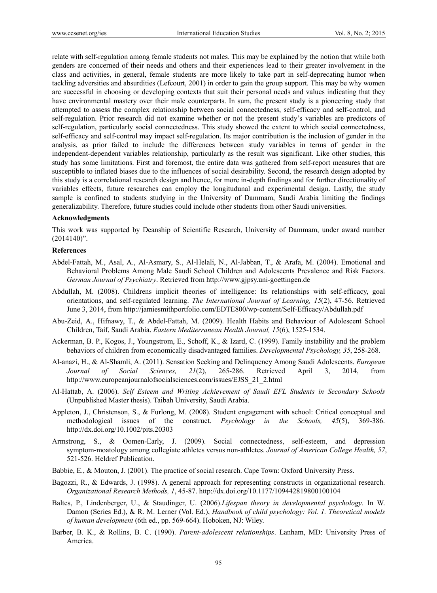relate with self-regulation among female students not males. This may be explained by the notion that while both genders are concerned of their needs and others and their experiences lead to their greater involvement in the class and activities, in general, female students are more likely to take part in self-deprecating humor when tackling adversities and absurdities (Lefcourt, 2001) in order to gain the group support. This may be why women are successful in choosing or developing contexts that suit their personal needs and values indicating that they have environmental mastery over their male counterparts. In sum, the present study is a pioneering study that attempted to assess the complex relationship between social connectedness, self-efficacy and self-control, and self-regulation. Prior research did not examine whether or not the present study's variables are predictors of self-regulation, particularly social connectedness. This study showed the extent to which social connectedness, self-efficacy and self-control may impact self-regulation. Its major contribution is the inclusion of gender in the analysis, as prior failed to include the differences between study variables in terms of gender in the independent-dependent variables relationship, particularly as the result was significant. Like other studies, this study has some limitations. First and foremost, the entire data was gathered from self-report measures that are susceptible to inflated biases due to the influences of social desirability. Second, the research design adopted by this study is a correlational research design and hence, for more in-depth findings and for further directionality of variables effects, future researches can employ the longitudunal and experimental design. Lastly, the study sample is confined to students studying in the University of Dammam, Saudi Arabia limiting the findings generalizability. Therefore, future studies could include other students from other Saudi universities.

#### **Acknowledgments**

This work was supported by Deanship of Scientific Research, University of Dammam, under award number (2014140)".

# **References**

- Abdel-Fattah, M., Asal, A., Al-Asmary, S., Al-Helali, N., Al-Jabban, T., & Arafa, M. (2004). Emotional and Behavioral Problems Among Male Saudi School Children and Adolescents Prevalence and Risk Factors. *German Journal of Psychiatry*. Retrieved from http://www.gjpsy.uni-goettingen.de
- Abdullah, M. (2008). Childrens implicit theories of intelligence: Its relationships with self-efficacy, goal orientations, and self-regulated learning. *The International Journal of Learning, 15*(2), 47-56. Retrieved June 3, 2014, from http://jamiesmithportfolio.com/EDTE800/wp-content/Self-Efficacy/Abdullah.pdf
- Abu-Zeid, A., Hifnawy, T., & Abdel-Fattah, M. (2009). Health Habits and Behaviour of Adolescent School Children, Taif, Saudi Arabia. *Eastern Mediterranean Health Journal, 15*(6), 1525-1534.
- Ackerman, B. P., Kogos, J., Youngstrom, E., Schoff, K., & Izard, C. (1999). Family instability and the problem behaviors of children from economically disadvantaged families. *Developmental Psychology, 35*, 258-268.
- Al-anazi, H., & Al-Shamli, A. (2011). Sensation Seeking and Delinquency Among Saudi Adolescents. *European Journal of Social Sciences, 21*(2), 265-286. Retrieved April 3, 2014, from http://www.europeanjournalofsocialsciences.com/issues/EJSS\_21\_2.html
- Al-Hattab, A. (2006). *Self Esteem and Writing Achievement of Saudi EFL Students in Secondary Schools*  (Unpublished Master thesis). Taibah University, Saudi Arabia.
- Appleton, J., Christenson, S., & Furlong, M. (2008). Student engagement with school: Critical conceptual and methodological issues of the construct. *Psychology in the Schools, 45*(5), 369-386. http://dx.doi.org/10.1002/pits.20303
- Armstrong, S., & Oomen-Early, J. (2009). Social connectedness, self-esteem, and depression symptom-moatology among collegiate athletes versus non-athletes. *Journal of American College Health, 57*, 521-526. Heldref Publication.
- Babbie, E., & Mouton, J. (2001). The practice of social research. Cape Town: Oxford University Press.
- Bagozzi, R., & Edwards, J. (1998). A general approach for representing constructs in organizational research. *Organizational Research Methods, 1*, 45-87. http://dx.doi.org/10.1177/109442819800100104
- Baltes, P., Lindenberger, U., & Staudinger, U. (2006).*Lifespan theory in developmental psychology*. In W. Damon (Series Ed.), & R. M. Lerner (Vol. Ed.), *Handbook of child psychology: Vol. 1. Theoretical models of human development* (6th ed., pp. 569-664). Hoboken, NJ: Wiley.
- Barber, B. K., & Rollins, B. C. (1990). *Parent-adolescent relationships*. Lanham, MD: University Press of America.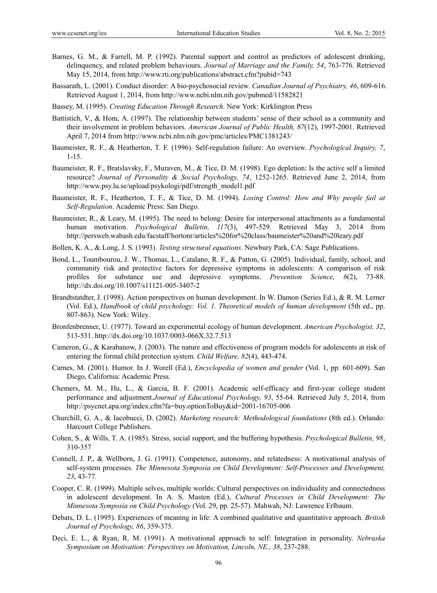- Barnes, G. M., & Farrell, M. P. (1992). Parental support and control as predictors of adolescent drinking, delinquency, and related problem behaviours. *Journal of Marriage and the Family, 54*, 763-776. Retrieved May 15, 2014, from http://www.rti.org/publications/abstract.cfm?pubid=743
- Bassarath, L. (2001). Conduct disorder: A bio-psychosocial review. *Canadian Journal of Psychiatry, 46*, 609-616. Retrieved August 1, 2014, from http://www.ncbi.nlm.nih.gov/pubmed/11582821
- Bassey, M. (1995). *Creating Education Through Research*. New York: Kirklington Press
- Battistich, V., & Hom, A. (1997). The relationship between students' sense of their school as a community and their involvement in problem behaviors. *American Journal of Public Health, 87*(12), 1997-2001. Retrieved April 7, 2014 from http://www.ncbi.nlm.nih.gov/pmc/articles/PMC1381243/
- Baumeister, R. F., & Heatherton, T. F. (1996). Self-regulation failure: An overview. *Psychological Inquiry, 7*, 1-15.
- Baumeister, R. F., Bratslavsky, F., Muraven, M., & Tice, D. M. (1998). Ego depletion: Is the active self a limited resource? *Journal of Personality & Social Psychology, 74*, 1252-1265. Retrieved June 2, 2014, from http://www.psy.lu.se/upload/psykologi/pdf/strength\_model1.pdf
- Baumeister, R. F., Heatherton, T. F., & Tice, D. M. (1994). *Losing Control: How and Why people fail at Self-Regulation*. Academic Press: San Diego.
- Baumeister, R., & Leary, M. (1995). The need to belong: Desire for interpersonal attachments as a fundamental human motivation. *Psychological Bulletin, 117*(3), 497-529. Retrieved May 3, 2014 from http://persweb.wabash.edu/facstaff/hortonr/articles%20for%20class/baumeister%20and%20leary.pdf
- Bollen, K. A., & Long, J. S. (1993). *Testing structural equations*. Newbury Park, CA: Sage Publications.
- Bond, L., Toumbourou, J. W., Thomas, L., Catalano, R. F., & Patton, G. (2005). Individual, family, school, and community risk and protective factors for depressive symptoms in adolescents: A comparison of risk profiles for substance use and depressive symptoms. *Prevention Science, 6*(2), 73-88. http://dx.doi.org/10.1007/s11121-005-3407-2
- Brandtstatdter, J. (1998). Action perspectives on human development. In W. Damon (Series Ed.), & R. M. Lerner (Vol. Ed.), *Handbook of child psychology: Vol. 1. Theoretical models of human development* (5th ed., pp. 807-863). New York: Wiley.
- Bronfenbrenner, U. (1977). Toward an experimental ecology of human development. *American Psychologist, 32*, 513-531. http://dx.doi.org/10.1037/0003-066X.32.7.513
- Cameron, G., & Karabanow, J. (2003). The nature and effectiveness of program models for adolescents at risk of entering the formal child protection system. *Child Welfare, 82*(4), 443-474.
- Carnes, M. (2001). Humor. In J. Worell (Ed.), *Encyclopedia of women and gender* (Vol. 1, pp. 601-609). San Diego, California: Academic Press.
- Chemers, M. M., Hu, L., & Garcia, B. F. (2001). Academic self-efficacy and first-year college student performance and adjustment.*Journal of Educational Psychology, 93*, 55-64. Retrieved July 5, 2014, from http://psycnet.apa.org/index.cfm?fa=buy.optionToBuy&id=2001-16705-006
- Churchill, G. A., & Iacobucci, D. (2002). *Marketing research: Methodological foundations* (8th ed.). Orlando: Harcourt College Publishers.
- Cohen, S., & Wills, T. A. (1985). Stress, social support, and the buffering hypothesis. *Psychological Bulletin, 98*, 310-357
- Connell, J. P., & Wellborn, J. G. (1991). Competence, autonomy, and relatedness: A motivational analysis of self-system processes. *The Minnesota Symposia on Child Development: Self-Processes and Development, 23*, 43-77.
- Cooper, C. R. (1999). Multiple selves, multiple worlds: Cultural perspectives on individuality and connectedness in adolescent development. In A. S. Masten (Ed.), *Cultural Processes in Child Development: The Minnesota Symposia on Child Psychology* (Vol. 29, pp. 25-57). Mahwah, NJ: Lawrence Erlbaum.
- Debats, D. L. (1995). Experiences of meaning in life: A combined qualitative and quantitative approach. *British Journal of Psychology, 86*, 359-375.
- Deci, E. L., & Ryan, R. M. (1991). A motivational approach to self: Integration in personality. *Nebraska Symposium on Motivation: Perspectives on Motivation, Lincoln, NE., 38*, 237-288.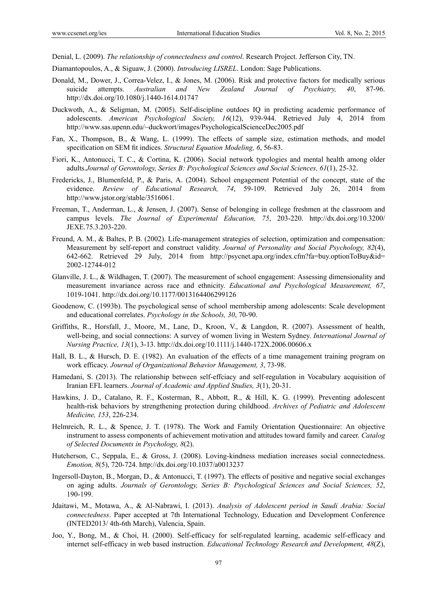Denial, L. (2009). *The relationship of connectedness and control*. Research Project. Jefferson City, TN.

- Diamantopoulos, A., & Siguaw, J. (2000). *Introducing LISREL*. London: Sage Publications.
- Donald, M., Dower, J., Correa-Velez, I., & Jones, M. (2006). Risk and protective factors for medically serious suicide attempts. *Australian and New Zealand Journal of Psychiatry, 40*, 87-96. http://dx.doi.org/10.1080/j.1440-1614.01747
- Duckwoth, A., & Seligman, M. (2005). Self-discipline outdoes IQ in predicting academic performance of adolescents. *American Psychological Society, 16*(12), 939-944. Retrieved July 4, 2014 from http://www.sas.upenn.edu/~duckwort/images/PsychologicalScienceDec2005.pdf
- Fan, X., Thompson, B., & Wang, L. (1999). The effects of sample size, estimation methods, and model specification on SEM fit indices. *Structural Equation Modeling, 6*, 56-83.
- Fiori, K., Antonucci, T. C., & Cortina, K. (2006). Social network typologies and mental health among older adults.*Journal of Gerontology, Series B: Psychological Sciences and Social Sciences, 61*(1), 25-32.
- Fredericks, J., Blumenfeld, P., & Paris, A. (2004). School engagement Potential of the concept, state of the evidence. *Review of Educational Research, 74*, 59-109. Retrieved July 26, 2014 from http://www.jstor.org/stable/3516061.
- Freeman, T., Anderman, L., & Jensen, J. (2007). Sense of belonging in college freshmen at the classroom and campus levels. *The Journal of Experimental Education, 75*, 203-220. http://dx.doi.org/10.3200/ JEXE.75.3.203-220.
- Freund, A. M., & Baltes, P. B. (2002). Life-management strategies of selection, optimization and compensation: Measurement by self-report and construct validity. *Journal of Personality and Social Psychology, 82*(4), 642-662. Retrieved 29 July, 2014 from http://psycnet.apa.org/index.cfm?fa=buy.optionToBuy&id= 2002-12744-012
- Glanville, J. L., & Wildhagen, T. (2007). The measurement of school engagement: Assessing dimensionality and measurement invariance across race and ethnicity. *Educational and Psychological Measurement, 67*, 1019-1041. http://dx.doi.org/10.1177/0013164406299126
- Goodenow, C. (1993b). The psychological sense of school membership among adolescents: Scale development and educational correlates. *Psychology in the Schools, 30*, 70-90.
- Griffiths, R., Horsfall, J., Moore, M., Lane, D., Kroon, V., & Langdon, R. (2007). Assessment of health, well-being, and social connections: A survey of women living in Western Sydney. *International Journal of Nursing Practice, 13*(1), 3-13. http://dx.doi.org/10.1111/j.1440-172X.2006.00606.x
- Hall, B. L., & Hursch, D. E. (1982). An evaluation of the effects of a time management training program on work efficacy. *Journal of Organizational Behavior Management, 3*, 73-98.
- Hamedani, S. (2013). The relationship between self-effciacy and self-regulation in Vocabulary acquisition of Iranian EFL learners. *Journal of Academic and Applied Studies, 3*(1), 20-31.
- Hawkins, J. D., Catalano, R. F., Kosterman, R., Abbott, R., & Hill, K. G. (1999). Preventing adolescent health-risk behaviors by strengthening protection during childhood. *Archives of Pediatric and Adolescent Medicine, 153*, 226-234.
- Helmreich, R. L., & Spence, J. T. (1978). The Work and Family Orientation Questionnaire: An objective instrument to assess components of achievement motivation and attitudes toward family and career. *Catalog of Selected Documents in Psychology, 8*(2).
- Hutcherson, C., Seppala, E., & Gross, J. (2008). Loving-kindness mediation increases social connectedness. *Emotion, 8*(5), 720-724. http://dx.doi.org/10.1037/a0013237
- Ingersoll-Dayton, B., Morgan, D., & Antonucci, T. (1997). The effects of positive and negative social exchanges on aging adults. *Journals of Gerontology, Series B: Psychological Sciences and Social Sciences, 52*, 190-199.
- Jdaitawi, M., Motawa, A., & Al-Nabrawi, I. (2013). *Analysis of Adolescent period in Saudi Arabia: Social connectedness*. Paper accepted at 7th International Technology, Education and Development Conference (INTED2013/ 4th-6th March), Valencia, Spain.
- Joo, Y., Bong, M., & Choi, H. (2000). Self-efficacy for self-regulated learning, academic self-efficacy and internet self-efficacy in web based instruction. *Educational Technology Research and Development, 48*(Z),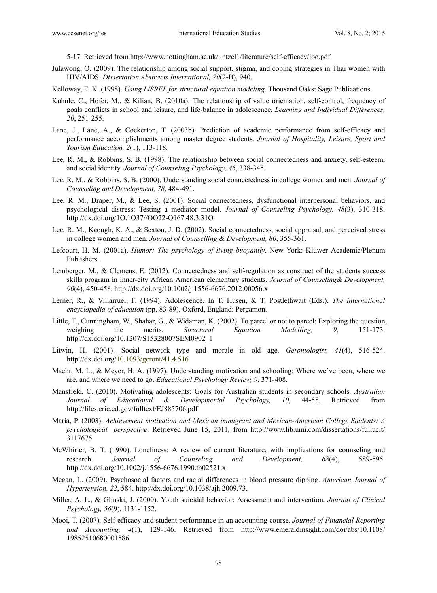5-17. Retrieved from http://www.nottingham.ac.uk/~ntzcl1/literature/self-efficacy/joo.pdf

- Julawong, O. (2009). The relationship among social support, stigma, and coping strategies in Thai women with HIV/AIDS. *Dissertation Abstracts International, 70*(2-B), 940.
- Kelloway, E. K. (1998). *Using LISREL for structural equation modeling*. Thousand Oaks: Sage Publications.
- Kuhnle, C., Hofer, M., & Kilian, B. (2010a). The relationship of value orientation, self-control, frequency of goals conflicts in school and leisure, and life-balance in adolescence. *Learning and Individual Differences, 20*, 251-255.
- Lane, J., Lane, A., & Cockerton, T. (2003b). Prediction of academic performance from self-efficacy and performance accomplishments among master degree students. *Journal of Hospitality, Leisure, Sport and Tourism Education, 2*(1), 113-118.
- Lee, R. M., & Robbins, S. B. (1998). The relationship between social connectedness and anxiety, self-esteem, and social identity. *Journal of Counseling Psychology, 45*, 338-345.
- Lee, R. M., & Robbins, S. B. (2000). Understanding social connectedness in college women and men. *Journal of Counseling and Development, 78*, 484-491.
- Lee, R. M., Draper, M., & Lee, S. (2001). Social connectedness, dysfunctional interpersonal behaviors, and psychological distress: Testing a mediator model. *Journal of Counseling Psychology, 48*(3), 310-318. http://dx.doi.org/1O.1O37//OO22-O167.48.3.31O
- Lee, R. M., Keough, K. A., & Sexton, J. D. (2002). Social connectedness, social appraisal, and perceived stress in college women and men. *Journal of Counselling & Development, 80*, 355-361.
- Lefcourt, H. M. (2001a). *Humor: The psychology of living buoyantly*. New York: Kluwer Academic/Plenum Publishers.
- Lemberger, M., & Clemens, E. (2012). Connectedness and self-regulation as construct of the students success skills program in inner-city African American elementary students. *Journal of Counseling& Development, 90*(4), 450-458. http://dx.doi.org/10.1002/j.1556-6676.2012.00056.x
- Lerner, R., & Villarruel, F. (1994). Adolescence. In T. Husen, & T. Postlethwait (Eds.), *The international encyclopedia of education* (pp. 83-89). Oxford, England: Pergamon.
- Little, T., Cunningham, W., Shahar, G., & Widaman, K. (2002). To parcel or not to parcel: Exploring the question, weighing the merits. *Structural Equation Modelling, 9*, 151-173. http://dx.doi.org/10.1207/S15328007SEM0902\_1
- Litwin, H. (2001). Social network type and morale in old age. *Gerontologist, 41*(4), 516-524. http://dx.doi.org/10.1093/geront/41.4.516
- Maehr, M. L., & Meyer, H. A. (1997). Understanding motivation and schooling: Where we've been, where we are, and where we need to go. *Educational Psychology Review, 9*, 371-408.
- Mansfield, C. (2010). Motivating adolescents: Goals for Australian students in secondary schools. *Australian Journal of Educational & Developmental Psychology, 10*, 44-55. Retrieved from http://files.eric.ed.gov/fulltext/EJ885706.pdf
- Maria, P. (2003). *Achievement motivation and Mexican immigrant and Mexican-American College Students: A psychological perspective*. Retrieved June 15, 2011, from http://www.lib.umi.com/dissertations/fullucit/ 3117675
- McWhirter, B. T. (1990). Loneliness: A review of current literature, with implications for counseling and research. *Journal of Counseling and Development, 68*(4), 589-595. http://dx.doi.org/10.1002/j.1556-6676.1990.tb02521.x
- Megan, L. (2009). Psychosocial factors and racial differences in blood pressure dipping. *American Journal of Hypertension, 22*, 584. http://dx.doi.org/10.1038/ajh.2009.73.
- Miller, A. L., & Glinski, J. (2000). Youth suicidal behavior: Assessment and intervention. *Journal of Clinical Psychology, 56*(9), 1131-1152.
- Mooi, T. (2007). Self-efficacy and student performance in an accounting course. *Journal of Financial Reporting and Accounting, 4*(1), 129-146. Retrieved from http://www.emeraldinsight.com/doi/abs/10.1108/ 19852510680001586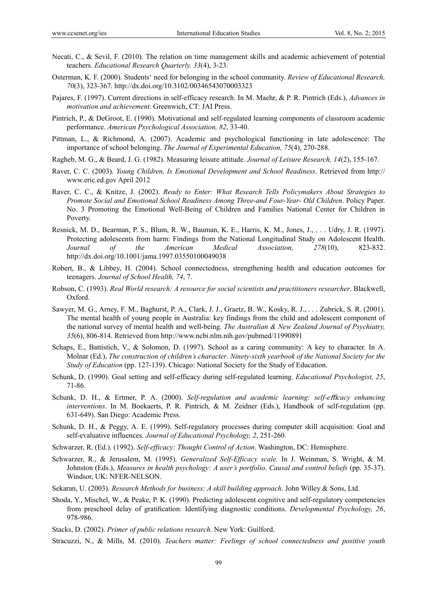- Necati, C., & Sevil, F. (2010). The relation on time management skills and academic achievement of potential teachers. *Educational Research Quarterly, 33*(4), 3-23.
- Osterman, K. F. (2000). Students' need for belonging in the school community. *Review of Educational Research, 70*(3), 323-367. http://dx.doi.org/10.3102/00346543070003323
- Pajares, F. (1997). Current directions in self-efficacy research. In M. Maehr, & P. R. Pintrich (Eds.), *Advances in motivation and achievement*. Greenwich, CT: JAI Press.
- Pintrich, P., & DeGroot, E. (1990). Motivational and self-regulated learning components of classroom academic performance. *American Psychological Association, 82*, 33-40.
- Pittman, L., & Richmond, A. (2007). Academic and psychological functioning in late adolescence: The importance of school belonging. *The Journal of Experimental Education, 75*(4), 270-288.
- Ragheb, M. G., & Beard, J. G. (1982). Measuring leisure attitude. *Journal of Leisure Research, 14*(2), 155-167.
- Raver, C. C. (2003). *Young Children, Is Emotional Development and School Readiness*. Retrieved from http:// www.eric.ed.gov April 2012
- Raver, C. C., & Knitze, J. (2002). *Ready to Enter: What Research Tells Policymakers About Strategies to Promote Social and Emotional School Readiness Among Three-and Four-Year- Old Children*. Policy Paper. No. 3 Promoting the Emotional Well-Being of Children and Families National Center for Children in Poverty.
- Resnick, M. D., Bearman, P. S., Blum, R. W., Bauman, K. E., Harris, K. M., Jones, J., . . . Udry, J. R. (1997). Protecting adolescents from harm: Findings from the National Longitudinal Study on Adolescent Health. *Journal of the American Medical Association, 278*(10), 823-832. http://dx.doi.org/10.1001/jama.1997.03550100049038
- Robert, B., & Libbey, H. (2004). School connectedness, strengthening health and education outcomes for teenagers. *Journal of School Health, 74*, 7.
- Robson, C. (1993). *Real World research: A resource for social scientists and practitioners researcher*. Blackwell, Oxford.
- Sawyer, M. G., Arney, F. M., Baghurst, P. A., Clark, J. J., Graetz, B. W., Kosky, R. J., . . . Zubrick, S. R. (2001). The mental health of young people in Australia: key findings from the child and adolescent component of the national survey of mental health and well-being. *The Australian & New Zealand Journal of Psychiatry, 35*(6), 806-814. Retrieved from http://www.ncbi.nlm.nih.gov/pubmed/11990891
- Schaps, E., Battistich, V., & Solomon, D. (1997). School as a caring community: A key to character. In A. Molnar (Ed.), *The construction of children's character*. *Ninety-sixth yearbook of the National Society for the Study of Education* (pp. 127-139). Chicago: National Society for the Study of Education.
- Schunk, D. (1990). Goal setting and self-efficacy during self-regulated learning. *Educational Psychologist, 25*, 71-86.
- Schunk, D. H., & Ertmer, P. A. (2000). *Self-regulation and academic learning: self-e*ffi*cacy enhancing interventions*. In M. Boekaerts, P. R. Pintrich, & M. Zeidner (Eds.), Handbook of self-regulation (pp. 631-649). San Diego: Academic Press.
- Schunk, D. H., & Peggy, A. E. (1999). Self-regulatory processes during computer skill acquisition: Goal and self-evaluative influences. *Journal of Educational Psychology, 2*, 251-260.
- Schwarzer, R. (Ed.). (1992). *Self-efficacy: Thought Control of Action*. Washington, DC: Hemisphere.
- Schwarzer, R., & Jerusalem, M. (1995). *Generalized Self-Efficacy scale.* In J. Weinman, S. Wright, & M. Johnston (Eds.), *Measures in health psychology: A user's portfolio*. *Causal and control beliefs* (pp. 35-37). Windsor, UK: NFER-NELSON.
- Sekaran, U. (2003). *Research Methods for business: A skill building approach*. John Willey & Sons, Ltd.
- Shoda, Y., Mischel, W., & Peake, P. K. (1990). Predicting adolescent cognitive and self-regulatory competencies from preschool delay of gratification: Identifying diagnostic conditions. *Developmental Psychology, 26*, 978-986.
- Stacks, D. (2002). *Primer of public relations research*. New York: Guilford.
- Stracuzzi, N., & Mills, M. (2010). *Teachers matter: Feelings of school connectedness and positive youth*